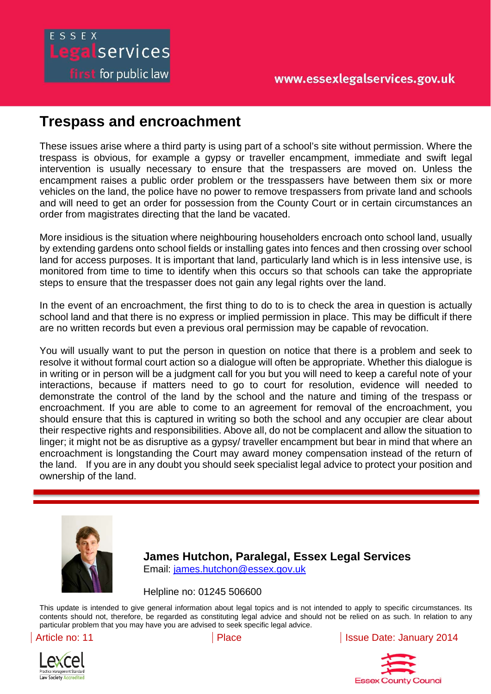#### www.essexlegalservices.gov.uk

# ESSEX Legalservices **first** for public law

## **Trespass and encroachment**

These issues arise where a third party is using part of a school's site without permission. Where the trespass is obvious, for example a gypsy or traveller encampment, immediate and swift legal intervention is usually necessary to ensure that the trespassers are moved on. Unless the encampment raises a public order problem or the tresspassers have between them six or more vehicles on the land, the police have no power to remove trespassers from private land and schools and will need to get an order for possession from the County Court or in certain circumstances an order from magistrates directing that the land be vacated.

More insidious is the situation where neighbouring householders encroach onto school land, usually by extending gardens onto school fields or installing gates into fences and then crossing over school land for access purposes. It is important that land, particularly land which is in less intensive use, is monitored from time to time to identify when this occurs so that schools can take the appropriate steps to ensure that the trespasser does not gain any legal rights over the land.

In the event of an encroachment, the first thing to do to is to check the area in question is actually school land and that there is no express or implied permission in place. This may be difficult if there are no written records but even a previous oral permission may be capable of revocation.

ownership of the land. The collected to be control of the collected to demonstrate the control of the control of the control of the control of the control of the control of the control of the control of the control of the the land by the school and the nature and timing of the trespass or encroachment. You will usually want to put the person in question on notice that there is a problem and seek to resolve it without formal court action so a dialogue will often be appropriate. Whether this dialogue is in writing or in person will be a judgment call for you but you will need to keep a careful note of your interactions, because if matters need to go to court for resolution, evidence will needed to demonstrate the control of the land by the school and the nature and timing of the trespass or encroachment. If you are able to come to an agreement for removal of the encroachment, you should ensure that this is captured in writing so both the school and any occupier are clear about their respective rights and responsibilities. Above all, do not be complacent and allow the situation to linger; it might not be as disruptive as a gypsy/ traveller encampment but bear in mind that where an encroachment is longstanding the Court may award money compensation instead of the return of the land. If you are in any doubt you should seek specialist legal advice to protect your position and

is not intended to apply to specific circumstances. Its contents should not, therefore, be regarded as



**James Hutchon, Paralegal, Essex Legal Services**  Email: james.hutchon@essex.gov.uk

Helpline no: 01245 506600

This update is intended to give general information about legal topics and is not intended to apply to specific circumstances. Its contents should not, therefore, be regarded as constituting legal advice and should not be relied on as such. In relation to any particular problem that you may have you are advised to seek specific legal advice.



Article no: 11 **Place Issue Date: January 2014** 

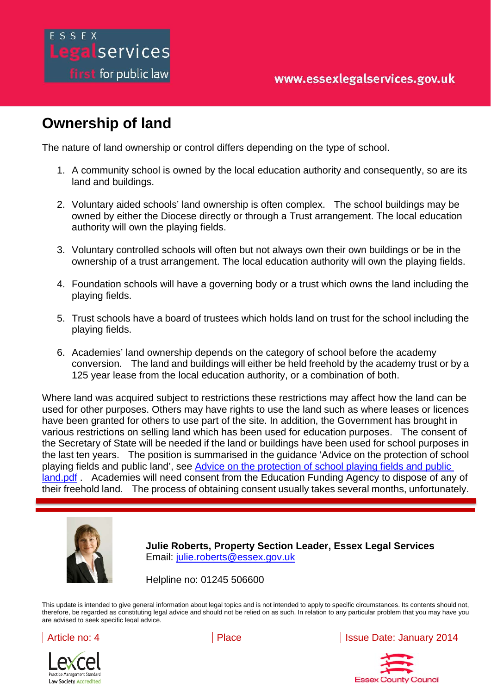## **Ownership of land**

egalservices

**first** for public law

The nature of land ownership or control differs depending on the type of school.

- 1. A community school is owned by the local education authority and consequently, so are its land and buildings.
- 2. Voluntary aided schools' land ownership is often complex. The school buildings may be owned by either the Diocese directly or through a Trust arrangement. The local education authority will own the playing fields.
- 3. Voluntary controlled schools will often but not always own their own buildings or be in the ownership of a trust arrangement. The local education authority will own the playing fields.
- 4. Foundation schools will have a governing body or a trust which owns the land including the playing fields.
- 5. Trust schools have a board of trustees which holds land on trust for the school including the playing fields.
- 6. Academies' land ownership depends on the category of school before the academy conversion. The land and buildings will either be held freehold by the academy trust or by a 125 year lease from the local education authority, or a combination of both.

land.pdf . Academies will need consent from the Education Funding Agency to dispose of any of their freehold land. The process of obtaining consent usually takes several months, unfortunately. constituting legal advice and should not be relied on as such. In relation to any particular problem that Where land was acquired subject to restrictions these restrictions may affect how the land can be used for other purposes. Others may have rights to use the land such as where leases or licences have been granted for others to use part of the site. In addition, the Government has brought in various restrictions on selling land which has been used for education purposes. The consent of the Secretary of State will be needed if the land or buildings have been used for school purposes in the last ten years. The position is summarised in the guidance 'Advice on the protection of school playing fields and public land', see Advice on the protection of school playing fields and public



**Julie Roberts, Property Section Leader, Essex Legal Services**  Email: julie.roberts@essex.gov.uk

Helpline no: 01245 506600

you may have you are advised to seek specific legal advice.

This update is intended to give general information about legal topics and is not intended to apply to specific circumstances. Its contents should not, therefore, be regarded as constituting legal advice and should not be relied on as such. In relation to any particular problem that you may have you are advised to seek specific legal advice.





Article no: 4 **Place Place Article Date: January 2014**